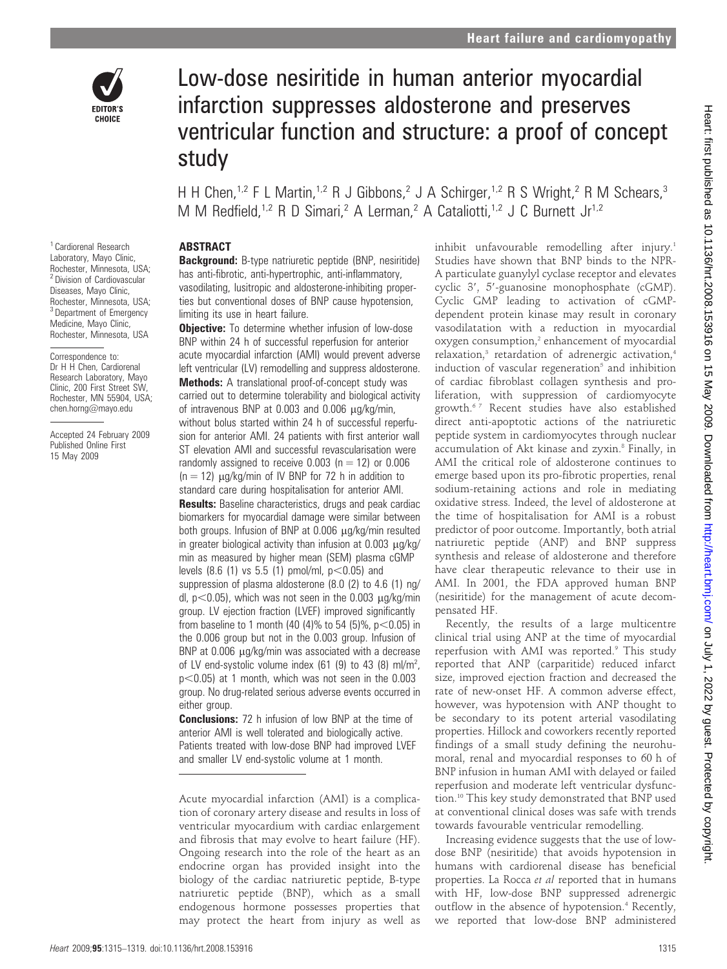

Low-dose nesiritide in human anterior myocardial infarction suppresses aldosterone and preserves ventricular function and structure: a proof of concept study

H H Chen,<sup>1,2</sup> F L Martin,<sup>1,2</sup> R J Gibbons,<sup>2</sup> J A Schirger,<sup>1,2</sup> R S Wright,<sup>2</sup> R M Schears,<sup>3</sup> M M Redfield,<sup>1,2</sup> R D Simari,<sup>2</sup> A Lerman,<sup>2</sup> A Cataliotti,<sup>1,2</sup> J C Burnett Jr<sup>1,2</sup>

# **ABSTRACT**

Background: B-type natriuretic peptide (BNP, nesiritide) has anti-fibrotic, anti-hypertrophic, anti-inflammatory, vasodilating, lusitropic and aldosterone-inhibiting properties but conventional doses of BNP cause hypotension, limiting its use in heart failure.

**Objective:** To determine whether infusion of low-dose BNP within 24 h of successful reperfusion for anterior acute myocardial infarction (AMI) would prevent adverse left ventricular (LV) remodelling and suppress aldosterone. Methods: A translational proof-of-concept study was carried out to determine tolerability and biological activity of intravenous BNP at  $0.003$  and  $0.006 \mu g/kg/min$ , without bolus started within 24 h of successful reperfusion for anterior AMI. 24 patients with first anterior wall ST elevation AMI and successful revascularisation were randomly assigned to receive  $0.003$  (n = 12) or  $0.006$  $(n = 12)$   $\mu q/kg/min$  of IV BNP for 72 h in addition to standard care during hospitalisation for anterior AMI. **Results:** Baseline characteristics, drugs and peak cardiac biomarkers for myocardial damage were similar between both groups. Infusion of BNP at 0.006 µg/kg/min resulted in greater biological activity than infusion at  $0.003 \mu g/kg/$ min as measured by higher mean (SEM) plasma cGMP levels  $(8.6 \ (1)$  vs 5.5  $(1)$  pmol/ml,  $p<0.05$ ) and suppression of plasma aldosterone (8.0 (2) to 4.6 (1) ng/ dl,  $p<0.05$ ), which was not seen in the 0.003  $\mu$ g/kg/min group. LV ejection fraction (LVEF) improved significantly from baseline to 1 month (40 (4)% to 54 (5)%,  $p$ <0.05) in the 0.006 group but not in the 0.003 group. Infusion of BNP at  $0.006$   $\mu$ g/kg/min was associated with a decrease of LV end-systolic volume index (61 (9) to 43 (8) ml/m<sup>2</sup>,  $p<0.05$ ) at 1 month, which was not seen in the 0.003 group. No drug-related serious adverse events occurred in either group.

**Conclusions:** 72 h infusion of low BNP at the time of anterior AMI is well tolerated and biologically active. Patients treated with low-dose BNP had improved LVEF and smaller LV end-systolic volume at 1 month.

inhibit unfavourable remodelling after injury.<sup>1</sup> Studies have shown that BNP binds to the NPR-A particulate guanylyl cyclase receptor and elevates cyclic 3', 5'-guanosine monophosphate (cGMP). Cyclic GMP leading to activation of cGMPdependent protein kinase may result in coronary vasodilatation with a reduction in myocardial oxygen consumption,<sup>2</sup> enhancement of myocardial relaxation,<sup>3</sup> retardation of adrenergic activation,<sup>4</sup> induction of vascular regeneration<sup>5</sup> and inhibition of cardiac fibroblast collagen synthesis and proliferation, with suppression of cardiomyocyte growth.6 7 Recent studies have also established direct anti-apoptotic actions of the natriuretic peptide system in cardiomyocytes through nuclear accumulation of Akt kinase and zyxin.<sup>8</sup> Finally, in AMI the critical role of aldosterone continues to emerge based upon its pro-fibrotic properties, renal sodium-retaining actions and role in mediating oxidative stress. Indeed, the level of aldosterone at the time of hospitalisation for AMI is a robust predictor of poor outcome. Importantly, both atrial natriuretic peptide (ANP) and BNP suppress synthesis and release of aldosterone and therefore have clear therapeutic relevance to their use in AMI. In 2001, the FDA approved human BNP (nesiritide) for the management of acute decompensated HF.

Recently, the results of a large multicentre clinical trial using ANP at the time of myocardial reperfusion with AMI was reported.<sup>9</sup> This study reported that ANP (carparitide) reduced infarct size, improved ejection fraction and decreased the rate of new-onset HF. A common adverse effect, however, was hypotension with ANP thought to be secondary to its potent arterial vasodilating properties. Hillock and coworkers recently reported findings of a small study defining the neurohumoral, renal and myocardial responses to 60 h of BNP infusion in human AMI with delayed or failed reperfusion and moderate left ventricular dysfunction.10 This key study demonstrated that BNP used at conventional clinical doses was safe with trends towards favourable ventricular remodelling.

Increasing evidence suggests that the use of lowdose BNP (nesiritide) that avoids hypotension in humans with cardiorenal disease has beneficial properties. La Rocca et al reported that in humans with HF, low-dose BNP suppressed adrenergic outflow in the absence of hypotension.<sup>4</sup> Recently, we reported that low-dose BNP administered

<sup>1</sup> Cardiorenal Research Laboratory, Mayo Clinic, Rochester, Minnesota, USA; <sup>2</sup> Division of Cardiovascular Diseases, Mayo Clinic, Rochester, Minnesota, USA; <sup>3</sup> Department of Emergency Medicine, Mayo Clinic, Rochester, Minnesota, USA

Correspondence to: Dr H H Chen, Cardiorenal Research Laboratory, Mayo Clinic, 200 First Street SW, Rochester, MN 55904, USA; chen.horng@mayo.edu

Accepted 24 February 2009 Published Online First 15 May 2009

Acute myocardial infarction (AMI) is a complication of coronary artery disease and results in loss of ventricular myocardium with cardiac enlargement and fibrosis that may evolve to heart failure (HF). Ongoing research into the role of the heart as an endocrine organ has provided insight into the biology of the cardiac natriuretic peptide, B-type natriuretic peptide (BNP), which as a small endogenous hormone possesses properties that may protect the heart from injury as well as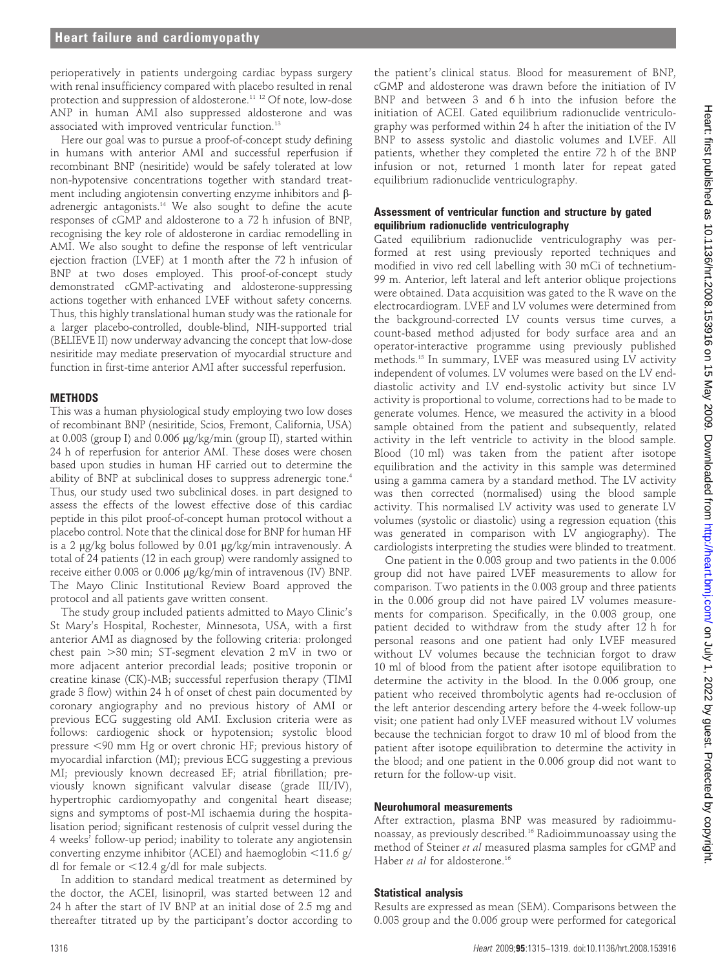perioperatively in patients undergoing cardiac bypass surgery with renal insufficiency compared with placebo resulted in renal protection and suppression of aldosterone.<sup>11 12</sup> Of note, low-dose ANP in human AMI also suppressed aldosterone and was associated with improved ventricular function.<sup>13</sup>

Here our goal was to pursue a proof-of-concept study defining in humans with anterior AMI and successful reperfusion if recombinant BNP (nesiritide) would be safely tolerated at low non-hypotensive concentrations together with standard treatment including angiotensin converting enzyme inhibitors and  $\beta$ adrenergic antagonists.14 We also sought to define the acute responses of cGMP and aldosterone to a 72 h infusion of BNP, recognising the key role of aldosterone in cardiac remodelling in AMI. We also sought to define the response of left ventricular ejection fraction (LVEF) at 1 month after the 72 h infusion of BNP at two doses employed. This proof-of-concept study demonstrated cGMP-activating and aldosterone-suppressing actions together with enhanced LVEF without safety concerns. Thus, this highly translational human study was the rationale for a larger placebo-controlled, double-blind, NIH-supported trial (BELIEVE II) now underway advancing the concept that low-dose nesiritide may mediate preservation of myocardial structure and function in first-time anterior AMI after successful reperfusion.

# **METHODS**

This was a human physiological study employing two low doses of recombinant BNP (nesiritide, Scios, Fremont, California, USA) at 0.003 (group I) and 0.006  $\mu$ g/kg/min (group II), started within 24 h of reperfusion for anterior AMI. These doses were chosen based upon studies in human HF carried out to determine the ability of BNP at subclinical doses to suppress adrenergic tone.<sup>4</sup> Thus, our study used two subclinical doses. in part designed to assess the effects of the lowest effective dose of this cardiac peptide in this pilot proof-of-concept human protocol without a placebo control. Note that the clinical dose for BNP for human HF is a 2  $\mu$ g/kg bolus followed by 0.01  $\mu$ g/kg/min intravenously. A total of 24 patients (12 in each group) were randomly assigned to receive either 0.003 or 0.006 µg/kg/min of intravenous (IV) BNP. The Mayo Clinic Institutional Review Board approved the protocol and all patients gave written consent.

The study group included patients admitted to Mayo Clinic's St Mary's Hospital, Rochester, Minnesota, USA, with a first anterior AMI as diagnosed by the following criteria: prolonged chest pain  $>30$  min; ST-segment elevation 2 mV in two or more adjacent anterior precordial leads; positive troponin or creatine kinase (CK)-MB; successful reperfusion therapy (TIMI grade 3 flow) within 24 h of onset of chest pain documented by coronary angiography and no previous history of AMI or previous ECG suggesting old AMI. Exclusion criteria were as follows: cardiogenic shock or hypotension; systolic blood pressure ,90 mm Hg or overt chronic HF; previous history of myocardial infarction (MI); previous ECG suggesting a previous MI; previously known decreased EF; atrial fibrillation; previously known significant valvular disease (grade III/IV), hypertrophic cardiomyopathy and congenital heart disease; signs and symptoms of post-MI ischaemia during the hospitalisation period; significant restenosis of culprit vessel during the 4 weeks' follow-up period; inability to tolerate any angiotensin converting enzyme inhibitor (ACEI) and haemoglobin  $\langle 11.6 \text{ g}/$ dl for female or  $<$ 12.4 g/dl for male subjects.

In addition to standard medical treatment as determined by the doctor, the ACEI, lisinopril, was started between 12 and 24 h after the start of IV BNP at an initial dose of 2.5 mg and thereafter titrated up by the participant's doctor according to

the patient's clinical status. Blood for measurement of BNP, cGMP and aldosterone was drawn before the initiation of IV BNP and between 3 and 6 h into the infusion before the initiation of ACEI. Gated equilibrium radionuclide ventriculography was performed within 24 h after the initiation of the IV BNP to assess systolic and diastolic volumes and LVEF. All patients, whether they completed the entire 72 h of the BNP infusion or not, returned 1 month later for repeat gated equilibrium radionuclide ventriculography.

# Assessment of ventricular function and structure by gated equilibrium radionuclide ventriculography

Gated equilibrium radionuclide ventriculography was performed at rest using previously reported techniques and modified in vivo red cell labelling with 30 mCi of technetium-99 m. Anterior, left lateral and left anterior oblique projections were obtained. Data acquisition was gated to the R wave on the electrocardiogram. LVEF and LV volumes were determined from the background-corrected LV counts versus time curves, a count-based method adjusted for body surface area and an operator-interactive programme using previously published methods.15 In summary, LVEF was measured using LV activity independent of volumes. LV volumes were based on the LV enddiastolic activity and LV end-systolic activity but since LV activity is proportional to volume, corrections had to be made to generate volumes. Hence, we measured the activity in a blood sample obtained from the patient and subsequently, related activity in the left ventricle to activity in the blood sample. Blood (10 ml) was taken from the patient after isotope equilibration and the activity in this sample was determined using a gamma camera by a standard method. The LV activity was then corrected (normalised) using the blood sample activity. This normalised LV activity was used to generate LV volumes (systolic or diastolic) using a regression equation (this was generated in comparison with LV angiography). The cardiologists interpreting the studies were blinded to treatment.

One patient in the 0.003 group and two patients in the 0.006 group did not have paired LVEF measurements to allow for comparison. Two patients in the 0.003 group and three patients in the 0.006 group did not have paired LV volumes measurements for comparison. Specifically, in the 0.003 group, one patient decided to withdraw from the study after 12 h for personal reasons and one patient had only LVEF measured without LV volumes because the technician forgot to draw 10 ml of blood from the patient after isotope equilibration to determine the activity in the blood. In the 0.006 group, one patient who received thrombolytic agents had re-occlusion of the left anterior descending artery before the 4-week follow-up visit; one patient had only LVEF measured without LV volumes because the technician forgot to draw 10 ml of blood from the patient after isotope equilibration to determine the activity in the blood; and one patient in the 0.006 group did not want to return for the follow-up visit.

### Neurohumoral measurements

After extraction, plasma BNP was measured by radioimmunoassay, as previously described.16 Radioimmunoassay using the method of Steiner et al measured plasma samples for cGMP and Haber et al for aldosterone.<sup>16</sup>

# Statistical analysis

Results are expressed as mean (SEM). Comparisons between the 0.003 group and the 0.006 group were performed for categorical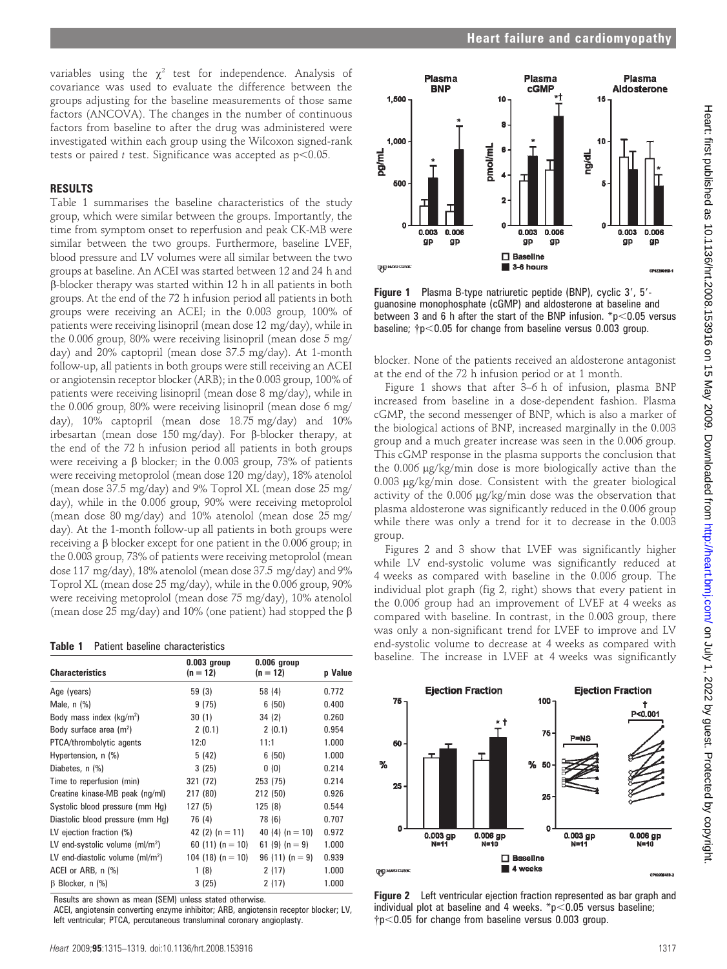variables using the  $\chi^2$  test for independence. Analysis of covariance was used to evaluate the difference between the groups adjusting for the baseline measurements of those same factors (ANCOVA). The changes in the number of continuous factors from baseline to after the drug was administered were investigated within each group using the Wilcoxon signed-rank tests or paired t test. Significance was accepted as  $p<0.05$ .

#### RESULTS

Table 1 summarises the baseline characteristics of the study group, which were similar between the groups. Importantly, the time from symptom onset to reperfusion and peak CK-MB were similar between the two groups. Furthermore, baseline LVEF, blood pressure and LV volumes were all similar between the two groups at baseline. An ACEI was started between 12 and 24 h and b-blocker therapy was started within 12 h in all patients in both groups. At the end of the 72 h infusion period all patients in both groups were receiving an ACEI; in the 0.003 group, 100% of patients were receiving lisinopril (mean dose 12 mg/day), while in the 0.006 group, 80% were receiving lisinopril (mean dose 5 mg/ day) and 20% captopril (mean dose 37.5 mg/day). At 1-month follow-up, all patients in both groups were still receiving an ACEI or angiotensin receptor blocker (ARB); in the 0.003 group, 100% of patients were receiving lisinopril (mean dose 8 mg/day), while in the 0.006 group, 80% were receiving lisinopril (mean dose 6 mg/ day), 10% captopril (mean dose 18.75 mg/day) and 10% irbesartan (mean dose 150 mg/day). For  $\beta$ -blocker therapy, at the end of the 72 h infusion period all patients in both groups were receiving a  $\beta$  blocker; in the 0.003 group, 73% of patients were receiving metoprolol (mean dose 120 mg/day), 18% atenolol (mean dose 37.5 mg/day) and 9% Toprol XL (mean dose 25 mg/ day), while in the 0.006 group, 90% were receiving metoprolol (mean dose 80 mg/day) and 10% atenolol (mean dose 25 mg/ day). At the 1-month follow-up all patients in both groups were receiving a  $\beta$  blocker except for one patient in the 0.006 group; in the 0.003 group, 73% of patients were receiving metoprolol (mean dose 117 mg/day), 18% atenolol (mean dose 37.5 mg/day) and 9% Toprol XL (mean dose 25 mg/day), while in the 0.006 group, 90% were receiving metoprolol (mean dose 75 mg/day), 10% atenolol (mean dose 25 mg/day) and 10% (one patient) had stopped the  $\beta$ 

#### Table 1 Patient baseline characteristics

| <b>Characteristics</b>            | $0.003$ group<br>$(n = 12)$ | $0.006$ group<br>$(n = 12)$ | p Value |
|-----------------------------------|-----------------------------|-----------------------------|---------|
| Age (years)                       | 59 (3)                      | 58 (4)                      | 0.772   |
| Male, $n$ $%$                     | 9(75)                       | 6(50)                       | 0.400   |
| Body mass index $(kg/m2)$         | 30(1)                       | 34(2)                       | 0.260   |
| Body surface area $(m2)$          | 2(0.1)                      | 2(0.1)                      | 0.954   |
| PTCA/thrombolytic agents          | 12:0                        | 11:1                        | 1.000   |
| Hypertension, n (%)               | 5 (42)                      | 6(50)                       | 1.000   |
| Diabetes, n (%)                   | 3(25)                       | 0(0)                        | 0.214   |
| Time to reperfusion (min)         | 321 (72)                    | 253 (75)                    | 0.214   |
| Creatine kinase-MB peak (ng/ml)   | 217 (80)                    | 212 (50)                    | 0.926   |
| Systolic blood pressure (mm Hg)   | 127(5)                      | 125(8)                      | 0.544   |
| Diastolic blood pressure (mm Hq)  | 76 (4)                      | 78 (6)                      | 0.707   |
| LV ejection fraction (%)          | 42 (2) $(n = 11)$           | 40 (4) $(n = 10)$           | 0.972   |
| LV end-systolic volume $(ml/m2)$  | 60 $(11)(n = 10)$           | 61 $(9)(n=9)$               | 1.000   |
| LV end-diastolic volume $(mI/m2)$ | 104 (18) (n $=$ 10)         | $96(11)(n=9)$               | 0.939   |
| ACEI or ARB, n (%)                | 1(8)                        | 2(17)                       | 1.000   |
| B Blocker, n (%)                  | 3(25)                       | 2(17)                       | 1.000   |

Results are shown as mean (SEM) unless stated otherwise.

ACEI, angiotensin converting enzyme inhibitor; ARB, angiotensin receptor blocker; LV, left ventricular; PTCA, percutaneous transluminal coronary angioplasty.



Figure 1 Plasma B-type natriuretic peptide (BNP), cyclic 3', 5'guanosine monophosphate (cGMP) and aldosterone at baseline and between 3 and 6 h after the start of the BNP infusion.  $p$  < 0.05 versus baseline;  ${\rm \dot{p}}$  <0.05 for change from baseline versus 0.003 group.

blocker. None of the patients received an aldosterone antagonist at the end of the 72 h infusion period or at 1 month.

Figure 1 shows that after 3–6 h of infusion, plasma BNP increased from baseline in a dose-dependent fashion. Plasma cGMP, the second messenger of BNP, which is also a marker of the biological actions of BNP, increased marginally in the 0.003 group and a much greater increase was seen in the 0.006 group. This cGMP response in the plasma supports the conclusion that the 0.006 mg/kg/min dose is more biologically active than the 0.003 µg/kg/min dose. Consistent with the greater biological activity of the 0.006 µg/kg/min dose was the observation that plasma aldosterone was significantly reduced in the 0.006 group while there was only a trend for it to decrease in the 0.003 group.

Figures 2 and 3 show that LVEF was significantly higher while LV end-systolic volume was significantly reduced at 4 weeks as compared with baseline in the 0.006 group. The individual plot graph (fig 2, right) shows that every patient in the 0.006 group had an improvement of LVEF at 4 weeks as compared with baseline. In contrast, in the 0.003 group, there was only a non-significant trend for LVEF to improve and LV end-systolic volume to decrease at 4 weeks as compared with baseline. The increase in LVEF at 4 weeks was significantly



Figure 2 Left ventricular ejection fraction represented as bar graph and individual plot at baseline and 4 weeks.  $p<0.05$  versus baseline;  ${\rm \dot{p}}$  <0.05 for change from baseline versus 0.003 group.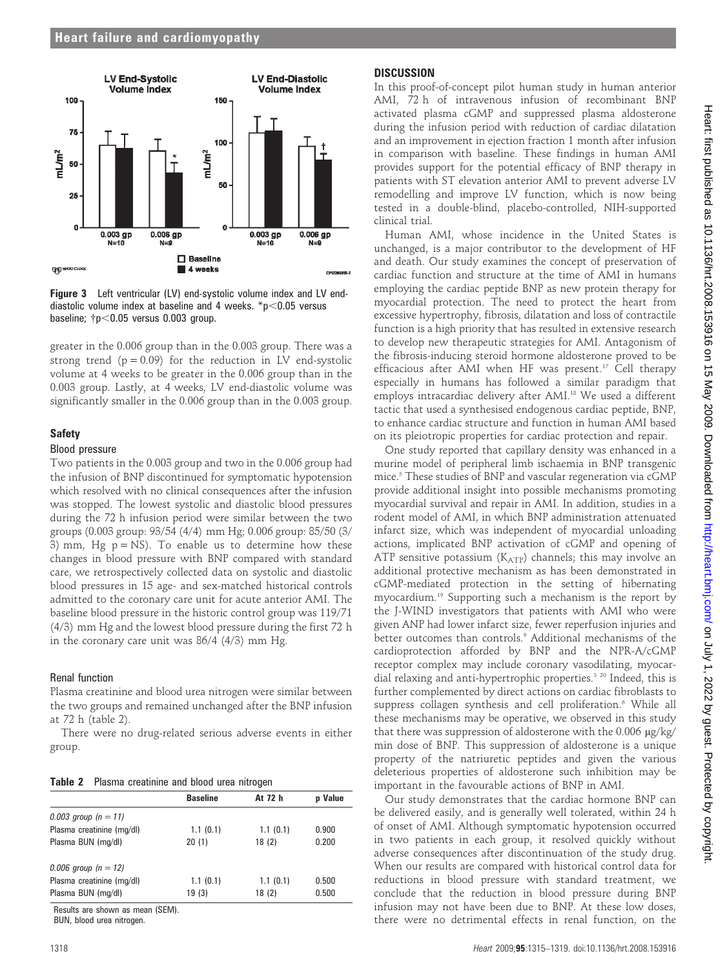

Figure 3 Left ventricular (LV) end-systolic volume index and LV enddiastolic volume index at baseline and 4 weeks.  $p$  < 0.05 versus baseline;  ${\rm tp} < 0.05$  versus 0.003 group.

greater in the 0.006 group than in the 0.003 group. There was a strong trend  $(p = 0.09)$  for the reduction in LV end-systolic volume at 4 weeks to be greater in the 0.006 group than in the 0.003 group. Lastly, at 4 weeks, LV end-diastolic volume was significantly smaller in the 0.006 group than in the 0.003 group.

# **Safety**

### Blood pressure

Two patients in the 0.003 group and two in the 0.006 group had the infusion of BNP discontinued for symptomatic hypotension which resolved with no clinical consequences after the infusion was stopped. The lowest systolic and diastolic blood pressures during the 72 h infusion period were similar between the two groups (0.003 group: 93/54 (4/4) mm Hg; 0.006 group: 85/50 (3/ 3) mm, Hg  $p = NS$ ). To enable us to determine how these changes in blood pressure with BNP compared with standard care, we retrospectively collected data on systolic and diastolic blood pressures in 15 age- and sex-matched historical controls admitted to the coronary care unit for acute anterior AMI. The baseline blood pressure in the historic control group was 119/71 (4/3) mm Hg and the lowest blood pressure during the first 72 h in the coronary care unit was 86/4 (4/3) mm Hg.

# Renal function

Plasma creatinine and blood urea nitrogen were similar between the two groups and remained unchanged after the BNP infusion at 72 h (table 2).

There were no drug-related serious adverse events in either group.

| Table 2 Plasma creatinine and blood urea nitrogen |  |
|---------------------------------------------------|--|
|---------------------------------------------------|--|

|                           | <b>Baseline</b> | At 72 h  | p Value |
|---------------------------|-----------------|----------|---------|
| 0.003 group $(n = 11)$    |                 |          |         |
| Plasma creatinine (mg/dl) | 1.1(0.1)        | 1.1(0.1) | 0.900   |
| Plasma BUN (mg/dl)        | 20(1)           | 18(2)    | 0.200   |
| 0.006 group $(n = 12)$    |                 |          |         |
| Plasma creatinine (mg/dl) | 1.1(0.1)        | 1.1(0.1) | 0.500   |
| Plasma BUN (mg/dl)        | 19(3)           | 18(2)    | 0.500   |

Results are shown as mean (SEM).

BUN, blood urea nitrogen.

# **DISCUSSION**

In this proof-of-concept pilot human study in human anterior AMI, 72 h of intravenous infusion of recombinant BNP activated plasma cGMP and suppressed plasma aldosterone during the infusion period with reduction of cardiac dilatation and an improvement in ejection fraction 1 month after infusion in comparison with baseline. These findings in human AMI provides support for the potential efficacy of BNP therapy in patients with ST elevation anterior AMI to prevent adverse LV remodelling and improve LV function, which is now being tested in a double-blind, placebo-controlled, NIH-supported clinical trial.

Human AMI, whose incidence in the United States is unchanged, is a major contributor to the development of HF and death. Our study examines the concept of preservation of cardiac function and structure at the time of AMI in humans employing the cardiac peptide BNP as new protein therapy for myocardial protection. The need to protect the heart from excessive hypertrophy, fibrosis, dilatation and loss of contractile function is a high priority that has resulted in extensive research to develop new therapeutic strategies for AMI. Antagonism of the fibrosis-inducing steroid hormone aldosterone proved to be efficacious after AMI when HF was present.<sup>17</sup> Cell therapy especially in humans has followed a similar paradigm that employs intracardiac delivery after AMI.<sup>18</sup> We used a different tactic that used a synthesised endogenous cardiac peptide, BNP, to enhance cardiac structure and function in human AMI based on its pleiotropic properties for cardiac protection and repair.

One study reported that capillary density was enhanced in a murine model of peripheral limb ischaemia in BNP transgenic mice.5 These studies of BNP and vascular regeneration via cGMP provide additional insight into possible mechanisms promoting myocardial survival and repair in AMI. In addition, studies in a rodent model of AMI, in which BNP administration attenuated infarct size, which was independent of myocardial unloading actions, implicated BNP activation of cGMP and opening of ATP sensitive potassium  $(K_{ATP})$  channels; this may involve an additional protective mechanism as has been demonstrated in cGMP-mediated protection in the setting of hibernating myocardium.19 Supporting such a mechanism is the report by the J-WIND investigators that patients with AMI who were given ANP had lower infarct size, fewer reperfusion injuries and better outcomes than controls.<sup>9</sup> Additional mechanisms of the cardioprotection afforded by BNP and the NPR-A/cGMP receptor complex may include coronary vasodilating, myocardial relaxing and anti-hypertrophic properties.<sup>3 20</sup> Indeed, this is further complemented by direct actions on cardiac fibroblasts to suppress collagen synthesis and cell proliferation.<sup>6</sup> While all these mechanisms may be operative, we observed in this study that there was suppression of aldosterone with the 0.006 µg/kg/ min dose of BNP. This suppression of aldosterone is a unique property of the natriuretic peptides and given the various deleterious properties of aldosterone such inhibition may be important in the favourable actions of BNP in AMI.

Our study demonstrates that the cardiac hormone BNP can be delivered easily, and is generally well tolerated, within 24 h of onset of AMI. Although symptomatic hypotension occurred in two patients in each group, it resolved quickly without adverse consequences after discontinuation of the study drug. When our results are compared with historical control data for reductions in blood pressure with standard treatment, we conclude that the reduction in blood pressure during BNP infusion may not have been due to BNP. At these low doses, there were no detrimental effects in renal function, on the